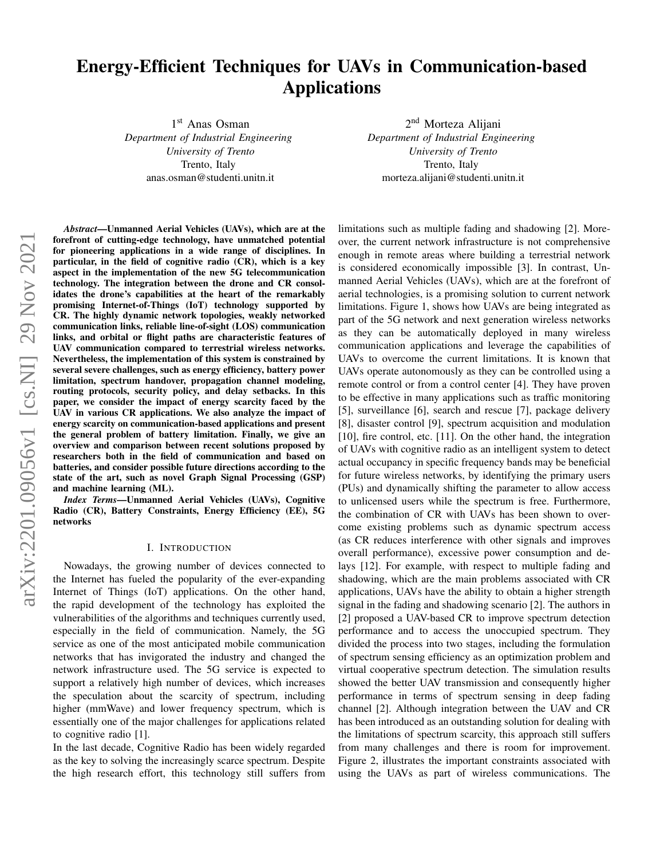# Energy-Efficient Techniques for UAVs in Communication-based Applications

1 st Anas Osman

*Department of Industrial Engineering University of Trento* Trento, Italy anas.osman@studenti.unitn.it

2<sup>nd</sup> Morteza Alijani *Department of Industrial Engineering University of Trento* Trento, Italy morteza.alijani@studenti.unitn.it

*Abstract*—Unmanned Aerial Vehicles (UAVs), which are at the forefront of cutting-edge technology, have unmatched potential for pioneering applications in a wide range of disciplines. In particular, in the field of cognitive radio (CR), which is a key aspect in the implementation of the new 5G telecommunication technology. The integration between the drone and CR consolidates the drone's capabilities at the heart of the remarkably promising Internet-of-Things (IoT) technology supported by CR. The highly dynamic network topologies, weakly networked communication links, reliable line-of-sight (LOS) communication links, and orbital or flight paths are characteristic features of UAV communication compared to terrestrial wireless networks. Nevertheless, the implementation of this system is constrained by several severe challenges, such as energy efficiency, battery power limitation, spectrum handover, propagation channel modeling, routing protocols, security policy, and delay setbacks. In this paper, we consider the impact of energy scarcity faced by the UAV in various CR applications. We also analyze the impact of energy scarcity on communication-based applications and present the general problem of battery limitation. Finally, we give an overview and comparison between recent solutions proposed by researchers both in the field of communication and based on batteries, and consider possible future directions according to the state of the art, such as novel Graph Signal Processing (GSP) and machine learning (ML).

*Index Terms*—Unmanned Aerial Vehicles (UAVs), Cognitive Radio (CR), Battery Constraints, Energy Efficiency (EE), 5G networks

#### I. INTRODUCTION

Nowadays, the growing number of devices connected to the Internet has fueled the popularity of the ever-expanding Internet of Things (IoT) applications. On the other hand, the rapid development of the technology has exploited the vulnerabilities of the algorithms and techniques currently used, especially in the field of communication. Namely, the 5G service as one of the most anticipated mobile communication networks that has invigorated the industry and changed the network infrastructure used. The 5G service is expected to support a relatively high number of devices, which increases the speculation about the scarcity of spectrum, including higher (mmWave) and lower frequency spectrum, which is essentially one of the major challenges for applications related to cognitive radio [1].

In the last decade, Cognitive Radio has been widely regarded as the key to solving the increasingly scarce spectrum. Despite the high research effort, this technology still suffers from limitations such as multiple fading and shadowing [2]. Moreover, the current network infrastructure is not comprehensive enough in remote areas where building a terrestrial network is considered economically impossible [3]. In contrast, Unmanned Aerial Vehicles (UAVs), which are at the forefront of aerial technologies, is a promising solution to current network limitations. Figure 1, shows how UAVs are being integrated as part of the 5G network and next generation wireless networks as they can be automatically deployed in many wireless communication applications and leverage the capabilities of UAVs to overcome the current limitations. It is known that UAVs operate autonomously as they can be controlled using a remote control or from a control center [4]. They have proven to be effective in many applications such as traffic monitoring [5], surveillance [6], search and rescue [7], package delivery [8], disaster control [9], spectrum acquisition and modulation [10], fire control, etc. [11]. On the other hand, the integration of UAVs with cognitive radio as an intelligent system to detect actual occupancy in specific frequency bands may be beneficial for future wireless networks, by identifying the primary users (PUs) and dynamically shifting the parameter to allow access to unlicensed users while the spectrum is free. Furthermore, the combination of CR with UAVs has been shown to overcome existing problems such as dynamic spectrum access (as CR reduces interference with other signals and improves overall performance), excessive power consumption and delays [12]. For example, with respect to multiple fading and shadowing, which are the main problems associated with CR applications, UAVs have the ability to obtain a higher strength signal in the fading and shadowing scenario [2]. The authors in [2] proposed a UAV-based CR to improve spectrum detection performance and to access the unoccupied spectrum. They divided the process into two stages, including the formulation of spectrum sensing efficiency as an optimization problem and virtual cooperative spectrum detection. The simulation results showed the better UAV transmission and consequently higher performance in terms of spectrum sensing in deep fading channel [2]. Although integration between the UAV and CR has been introduced as an outstanding solution for dealing with the limitations of spectrum scarcity, this approach still suffers from many challenges and there is room for improvement. Figure 2, illustrates the important constraints associated with using the UAVs as part of wireless communications. The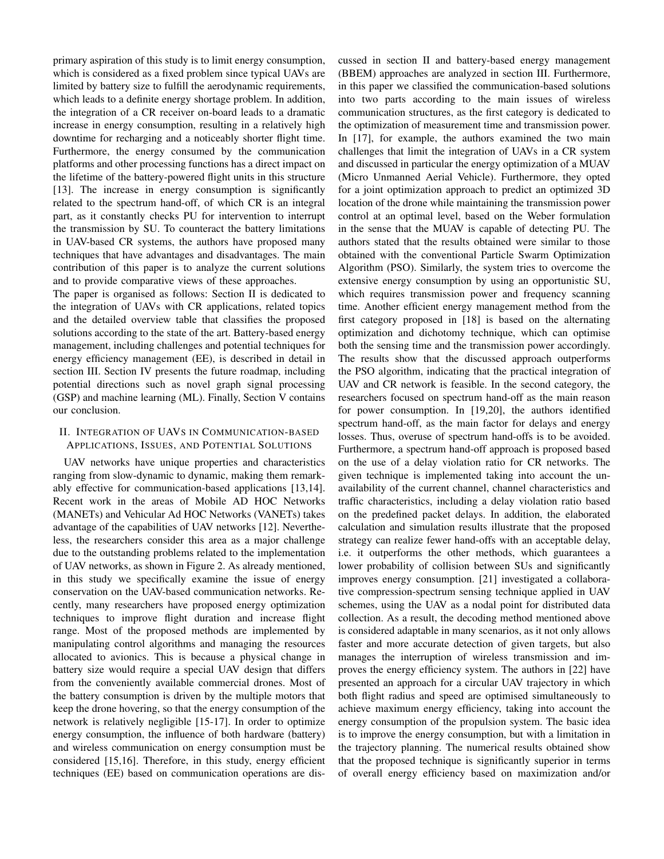primary aspiration of this study is to limit energy consumption, which is considered as a fixed problem since typical UAVs are limited by battery size to fulfill the aerodynamic requirements, which leads to a definite energy shortage problem. In addition, the integration of a CR receiver on-board leads to a dramatic increase in energy consumption, resulting in a relatively high downtime for recharging and a noticeably shorter flight time. Furthermore, the energy consumed by the communication platforms and other processing functions has a direct impact on the lifetime of the battery-powered flight units in this structure [13]. The increase in energy consumption is significantly related to the spectrum hand-off, of which CR is an integral part, as it constantly checks PU for intervention to interrupt the transmission by SU. To counteract the battery limitations in UAV-based CR systems, the authors have proposed many techniques that have advantages and disadvantages. The main contribution of this paper is to analyze the current solutions and to provide comparative views of these approaches.

The paper is organised as follows: Section II is dedicated to the integration of UAVs with CR applications, related topics and the detailed overview table that classifies the proposed solutions according to the state of the art. Battery-based energy management, including challenges and potential techniques for energy efficiency management (EE), is described in detail in section III. Section IV presents the future roadmap, including potential directions such as novel graph signal processing (GSP) and machine learning (ML). Finally, Section V contains our conclusion.

# II. INTEGRATION OF UAVS IN COMMUNICATION-BASED APPLICATIONS, ISSUES, AND POTENTIAL SOLUTIONS

UAV networks have unique properties and characteristics ranging from slow-dynamic to dynamic, making them remarkably effective for communication-based applications [13,14]. Recent work in the areas of Mobile AD HOC Networks (MANETs) and Vehicular Ad HOC Networks (VANETs) takes advantage of the capabilities of UAV networks [12]. Nevertheless, the researchers consider this area as a major challenge due to the outstanding problems related to the implementation of UAV networks, as shown in Figure 2. As already mentioned, in this study we specifically examine the issue of energy conservation on the UAV-based communication networks. Recently, many researchers have proposed energy optimization techniques to improve flight duration and increase flight range. Most of the proposed methods are implemented by manipulating control algorithms and managing the resources allocated to avionics. This is because a physical change in battery size would require a special UAV design that differs from the conveniently available commercial drones. Most of the battery consumption is driven by the multiple motors that keep the drone hovering, so that the energy consumption of the network is relatively negligible [15-17]. In order to optimize energy consumption, the influence of both hardware (battery) and wireless communication on energy consumption must be considered [15,16]. Therefore, in this study, energy efficient techniques (EE) based on communication operations are discussed in section II and battery-based energy management (BBEM) approaches are analyzed in section III. Furthermore, in this paper we classified the communication-based solutions into two parts according to the main issues of wireless communication structures, as the first category is dedicated to the optimization of measurement time and transmission power. In [17], for example, the authors examined the two main challenges that limit the integration of UAVs in a CR system and discussed in particular the energy optimization of a MUAV (Micro Unmanned Aerial Vehicle). Furthermore, they opted for a joint optimization approach to predict an optimized 3D location of the drone while maintaining the transmission power control at an optimal level, based on the Weber formulation in the sense that the MUAV is capable of detecting PU. The authors stated that the results obtained were similar to those obtained with the conventional Particle Swarm Optimization Algorithm (PSO). Similarly, the system tries to overcome the extensive energy consumption by using an opportunistic SU, which requires transmission power and frequency scanning time. Another efficient energy management method from the first category proposed in [18] is based on the alternating optimization and dichotomy technique, which can optimise both the sensing time and the transmission power accordingly. The results show that the discussed approach outperforms the PSO algorithm, indicating that the practical integration of UAV and CR network is feasible. In the second category, the researchers focused on spectrum hand-off as the main reason for power consumption. In [19,20], the authors identified spectrum hand-off, as the main factor for delays and energy losses. Thus, overuse of spectrum hand-offs is to be avoided. Furthermore, a spectrum hand-off approach is proposed based on the use of a delay violation ratio for CR networks. The given technique is implemented taking into account the unavailability of the current channel, channel characteristics and traffic characteristics, including a delay violation ratio based on the predefined packet delays. In addition, the elaborated calculation and simulation results illustrate that the proposed strategy can realize fewer hand-offs with an acceptable delay, i.e. it outperforms the other methods, which guarantees a lower probability of collision between SUs and significantly improves energy consumption. [21] investigated a collaborative compression-spectrum sensing technique applied in UAV schemes, using the UAV as a nodal point for distributed data collection. As a result, the decoding method mentioned above is considered adaptable in many scenarios, as it not only allows faster and more accurate detection of given targets, but also manages the interruption of wireless transmission and improves the energy efficiency system. The authors in [22] have presented an approach for a circular UAV trajectory in which both flight radius and speed are optimised simultaneously to achieve maximum energy efficiency, taking into account the energy consumption of the propulsion system. The basic idea is to improve the energy consumption, but with a limitation in the trajectory planning. The numerical results obtained show that the proposed technique is significantly superior in terms of overall energy efficiency based on maximization and/or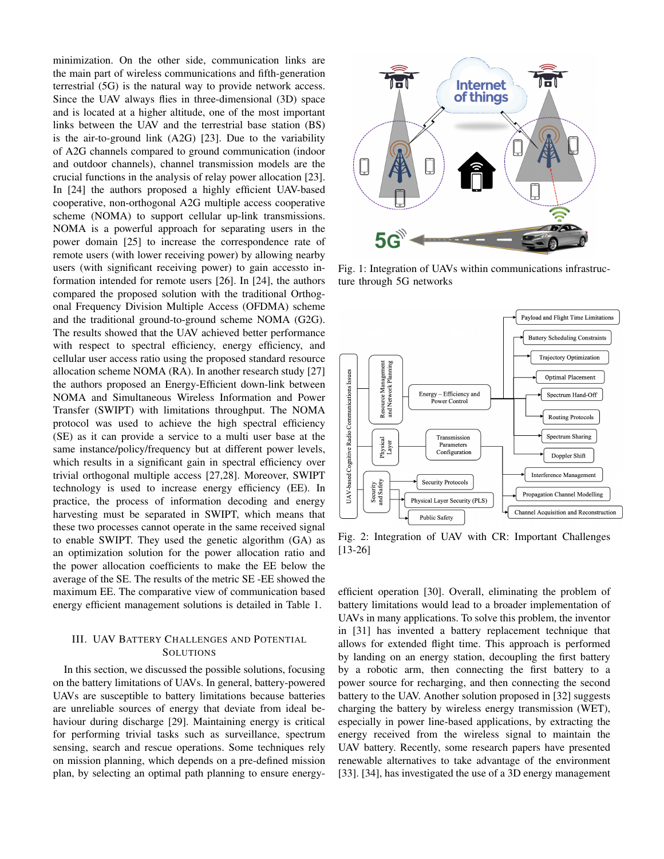minimization. On the other side, communication links are the main part of wireless communications and fifth-generation terrestrial (5G) is the natural way to provide network access. Since the UAV always flies in three-dimensional (3D) space and is located at a higher altitude, one of the most important links between the UAV and the terrestrial base station (BS) is the air-to-ground link (A2G) [23]. Due to the variability of A2G channels compared to ground communication (indoor and outdoor channels), channel transmission models are the crucial functions in the analysis of relay power allocation [23]. In [24] the authors proposed a highly efficient UAV-based cooperative, non-orthogonal A2G multiple access cooperative scheme (NOMA) to support cellular up-link transmissions. NOMA is a powerful approach for separating users in the power domain [25] to increase the correspondence rate of remote users (with lower receiving power) by allowing nearby users (with significant receiving power) to gain accessto information intended for remote users [26]. In [24], the authors compared the proposed solution with the traditional Orthogonal Frequency Division Multiple Access (OFDMA) scheme and the traditional ground-to-ground scheme NOMA (G2G). The results showed that the UAV achieved better performance with respect to spectral efficiency, energy efficiency, and cellular user access ratio using the proposed standard resource allocation scheme NOMA (RA). In another research study [27] the authors proposed an Energy-Efficient down-link between NOMA and Simultaneous Wireless Information and Power Transfer (SWIPT) with limitations throughput. The NOMA protocol was used to achieve the high spectral efficiency (SE) as it can provide a service to a multi user base at the same instance/policy/frequency but at different power levels. which results in a significant gain in spectral efficiency over trivial orthogonal multiple access [27,28]. Moreover, SWIPT technology is used to increase energy efficiency (EE). In practice, the process of information decoding and energy harvesting must be separated in SWIPT, which means that these two processes cannot operate in the same received signal to enable SWIPT. They used the genetic algorithm (GA) as an optimization solution for the power allocation ratio and the power allocation coefficients to make the EE below the average of the SE. The results of the metric SE -EE showed the maximum EE. The comparative view of communication based energy efficient management solutions is detailed in Table 1.

### III. UAV BATTERY CHALLENGES AND POTENTIAL **SOLUTIONS**

In this section, we discussed the possible solutions, focusing on the battery limitations of UAVs. In general, battery-powered UAVs are susceptible to battery limitations because batteries are unreliable sources of energy that deviate from ideal behaviour during discharge [29]. Maintaining energy is critical for performing trivial tasks such as surveillance, spectrum sensing, search and rescue operations. Some techniques rely on mission planning, which depends on a pre-defined mission plan, by selecting an optimal path planning to ensure energy-



Fig. 1: Integration of UAVs within communications infrastructure through 5G networks



Fig. 2: Integration of UAV with CR: Important Challenges [13-26]

efficient operation [30]. Overall, eliminating the problem of battery limitations would lead to a broader implementation of UAVs in many applications. To solve this problem, the inventor in [31] has invented a battery replacement technique that allows for extended flight time. This approach is performed by landing on an energy station, decoupling the first battery by a robotic arm, then connecting the first battery to a power source for recharging, and then connecting the second battery to the UAV. Another solution proposed in [32] suggests charging the battery by wireless energy transmission (WET), especially in power line-based applications, by extracting the energy received from the wireless signal to maintain the UAV battery. Recently, some research papers have presented renewable alternatives to take advantage of the environment [33]. [34], has investigated the use of a 3D energy management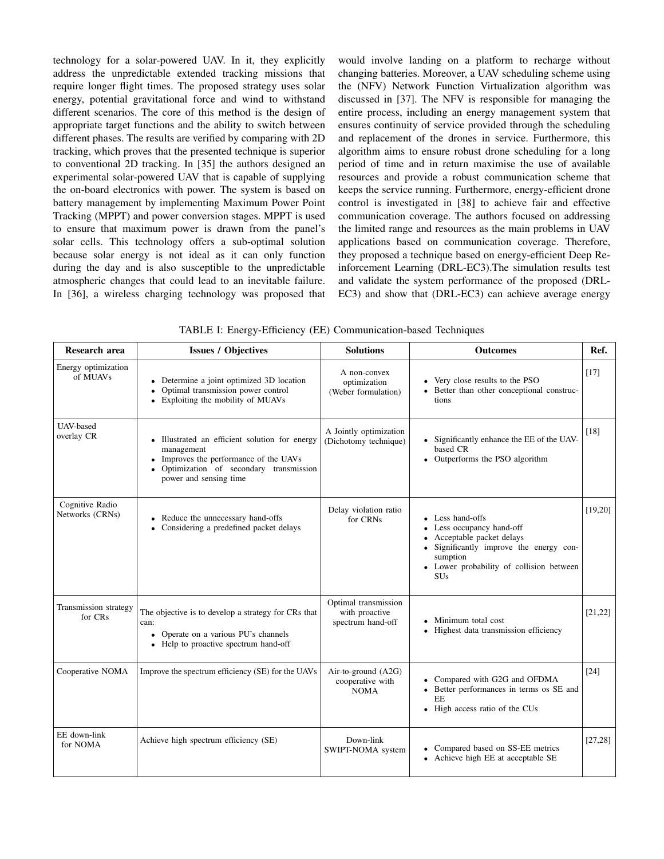technology for a solar-powered UAV. In it, they explicitly address the unpredictable extended tracking missions that require longer flight times. The proposed strategy uses solar energy, potential gravitational force and wind to withstand different scenarios. The core of this method is the design of appropriate target functions and the ability to switch between different phases. The results are verified by comparing with 2D tracking, which proves that the presented technique is superior to conventional 2D tracking. In [35] the authors designed an experimental solar-powered UAV that is capable of supplying the on-board electronics with power. The system is based on battery management by implementing Maximum Power Point Tracking (MPPT) and power conversion stages. MPPT is used to ensure that maximum power is drawn from the panel's solar cells. This technology offers a sub-optimal solution because solar energy is not ideal as it can only function during the day and is also susceptible to the unpredictable atmospheric changes that could lead to an inevitable failure. In [36], a wireless charging technology was proposed that would involve landing on a platform to recharge without changing batteries. Moreover, a UAV scheduling scheme using the (NFV) Network Function Virtualization algorithm was discussed in [37]. The NFV is responsible for managing the entire process, including an energy management system that ensures continuity of service provided through the scheduling and replacement of the drones in service. Furthermore, this algorithm aims to ensure robust drone scheduling for a long period of time and in return maximise the use of available resources and provide a robust communication scheme that keeps the service running. Furthermore, energy-efficient drone control is investigated in [38] to achieve fair and effective communication coverage. The authors focused on addressing the limited range and resources as the main problems in UAV applications based on communication coverage. Therefore, they proposed a technique based on energy-efficient Deep Reinforcement Learning (DRL-EC3).The simulation results test and validate the system performance of the proposed (DRL-EC3) and show that (DRL-EC3) can achieve average energy

| Research area                      | <b>Issues / Objectives</b>                                                                                                                                                                         | <b>Solutions</b>                                            | <b>Outcomes</b>                                                                                                                                                                      | Ref.     |
|------------------------------------|----------------------------------------------------------------------------------------------------------------------------------------------------------------------------------------------------|-------------------------------------------------------------|--------------------------------------------------------------------------------------------------------------------------------------------------------------------------------------|----------|
| Energy optimization<br>of MUAVs    | • Determine a joint optimized 3D location<br>Optimal transmission power control<br>$\bullet$<br>Exploiting the mobility of MUAVs                                                                   | A non-convex<br>optimization<br>(Weber formulation)         | Very close results to the PSO<br>Better than other conceptional construc-<br>tions                                                                                                   | [17]     |
| UAV-based<br>overlay CR            | • Illustrated an efficient solution for energy<br>management<br>Improves the performance of the UAVs<br>$\bullet$<br>Optimization of secondary transmission<br>$\bullet$<br>power and sensing time | A Jointly optimization<br>(Dichotomy technique)             | • Significantly enhance the EE of the UAV-<br>based CR<br>Outperforms the PSO algorithm<br>$\bullet$                                                                                 | [18]     |
| Cognitive Radio<br>Networks (CRNs) | • Reduce the unnecessary hand-offs<br>• Considering a predefined packet delays                                                                                                                     | Delay violation ratio<br>for CRNs                           | Less hand-offs<br>Less occupancy hand-off<br>Acceptable packet delays<br>Significantly improve the energy con-<br>sumption<br>• Lower probability of collision between<br><b>SUs</b> | [19, 20] |
| Transmission strategy<br>for CRs   | The objective is to develop a strategy for CRs that<br>can:<br>• Operate on a various PU's channels<br>Help to proactive spectrum hand-off<br>$\bullet$                                            | Optimal transmission<br>with proactive<br>spectrum hand-off | Minimum total cost<br>Highest data transmission efficiency                                                                                                                           | [21, 22] |
| Cooperative NOMA                   | Improve the spectrum efficiency (SE) for the UAVs                                                                                                                                                  | Air-to-ground $(A2G)$<br>cooperative with<br><b>NOMA</b>    | Compared with G2G and OFDMA<br>Better performances in terms os SE and<br>$\bullet$<br>EE<br>High access ratio of the CUs<br>$\bullet$                                                | $[24]$   |
| EE down-link<br>for NOMA           | Achieve high spectrum efficiency (SE)                                                                                                                                                              | Down-link<br>SWIPT-NOMA system                              | Compared based on SS-EE metrics<br>Achieve high EE at acceptable SE                                                                                                                  | [27, 28] |

TABLE I: Energy-Efficiency (EE) Communication-based Techniques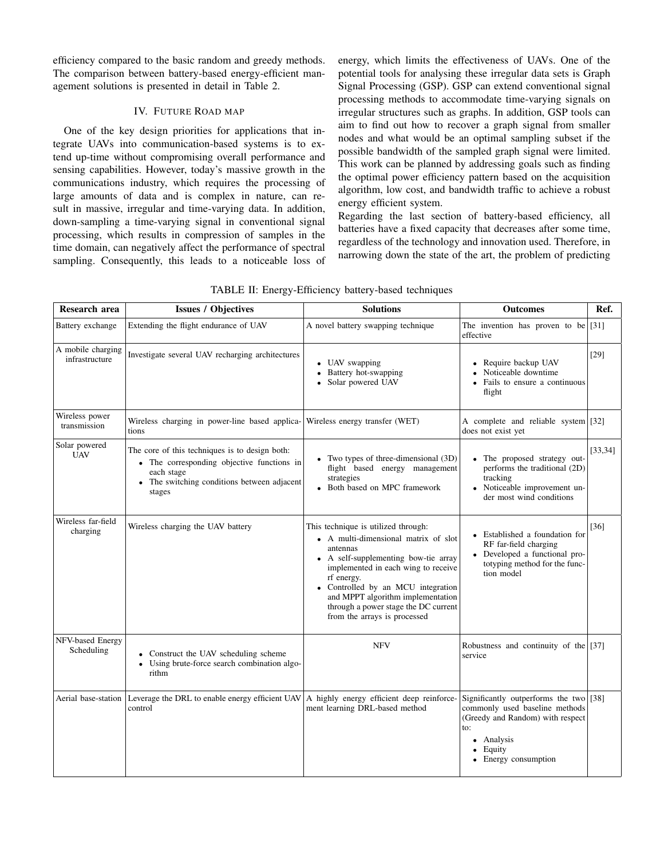efficiency compared to the basic random and greedy methods. The comparison between battery-based energy-efficient management solutions is presented in detail in Table 2.

# IV. FUTURE ROAD MAP

One of the key design priorities for applications that integrate UAVs into communication-based systems is to extend up-time without compromising overall performance and sensing capabilities. However, today's massive growth in the communications industry, which requires the processing of large amounts of data and is complex in nature, can result in massive, irregular and time-varying data. In addition, down-sampling a time-varying signal in conventional signal processing, which results in compression of samples in the time domain, can negatively affect the performance of spectral sampling. Consequently, this leads to a noticeable loss of energy, which limits the effectiveness of UAVs. One of the potential tools for analysing these irregular data sets is Graph Signal Processing (GSP). GSP can extend conventional signal processing methods to accommodate time-varying signals on irregular structures such as graphs. In addition, GSP tools can aim to find out how to recover a graph signal from smaller nodes and what would be an optimal sampling subset if the possible bandwidth of the sampled graph signal were limited. This work can be planned by addressing goals such as finding the optimal power efficiency pattern based on the acquisition algorithm, low cost, and bandwidth traffic to achieve a robust energy efficient system.

Regarding the last section of battery-based efficiency, all batteries have a fixed capacity that decreases after some time, regardless of the technology and innovation used. Therefore, in narrowing down the state of the art, the problem of predicting

| TABLE II: Energy-Efficiency battery-based techniques |  |  |
|------------------------------------------------------|--|--|
|------------------------------------------------------|--|--|

| Research area                       | <b>Issues / Objectives</b>                                                                                                                                        | <b>Solutions</b>                                                                                                                                                                                                                                                                                                                        | <b>Outcomes</b>                                                                                                                                                     | Ref.     |
|-------------------------------------|-------------------------------------------------------------------------------------------------------------------------------------------------------------------|-----------------------------------------------------------------------------------------------------------------------------------------------------------------------------------------------------------------------------------------------------------------------------------------------------------------------------------------|---------------------------------------------------------------------------------------------------------------------------------------------------------------------|----------|
| Battery exchange                    | Extending the flight endurance of UAV                                                                                                                             | A novel battery swapping technique                                                                                                                                                                                                                                                                                                      | The invention has proven to be<br>effective                                                                                                                         | $[31]$   |
| A mobile charging<br>infrastructure | Investigate several UAV recharging architectures                                                                                                                  | • UAV swapping<br>Battery hot-swapping<br>$\bullet$<br>Solar powered UAV                                                                                                                                                                                                                                                                | Require backup UAV<br>Noticeable downtime<br>Fails to ensure a continuous<br>flight                                                                                 | $[29]$   |
| Wireless power<br>transmission      | Wireless charging in power-line based applica-<br>tions                                                                                                           | Wireless energy transfer (WET)                                                                                                                                                                                                                                                                                                          | A complete and reliable system [32]<br>does not exist yet                                                                                                           |          |
| Solar powered<br><b>UAV</b>         | The core of this techniques is to design both:<br>• The corresponding objective functions in<br>each stage<br>The switching conditions between adjacent<br>stages | • Two types of three-dimensional (3D)<br>flight based energy management<br>strategies<br>• Both based on MPC framework                                                                                                                                                                                                                  | • The proposed strategy out-<br>performs the traditional (2D)<br>tracking<br>• Noticeable improvement un-<br>der most wind conditions                               | [33, 34] |
| Wireless far-field<br>charging      | Wireless charging the UAV battery                                                                                                                                 | This technique is utilized through:<br>• A multi-dimensional matrix of slot<br>antennas<br>• A self-supplementing bow-tie array<br>implemented in each wing to receive<br>rf energy.<br>• Controlled by an MCU integration<br>and MPPT algorithm implementation<br>through a power stage the DC current<br>from the arrays is processed | • Established a foundation for<br>RF far-field charging<br>• Developed a functional pro-<br>totyping method for the func-<br>tion model                             | [36]     |
| NFV-based Energy<br>Scheduling      | • Construct the UAV scheduling scheme<br>Using brute-force search combination algo-<br>$\bullet$<br>rithm                                                         | <b>NFV</b>                                                                                                                                                                                                                                                                                                                              | Robustness and continuity of the [ $[37]$ ]<br>service                                                                                                              |          |
|                                     | Aerial base-station Leverage the DRL to enable energy efficient UAV $\vert$ A highly energy efficient deep reinforce-<br>control                                  | ment learning DRL-based method                                                                                                                                                                                                                                                                                                          | Significantly outperforms the two [38]<br>commonly used baseline methods<br>(Greedy and Random) with respect<br>to:<br>• Analysis<br>Equity<br>• Energy consumption |          |